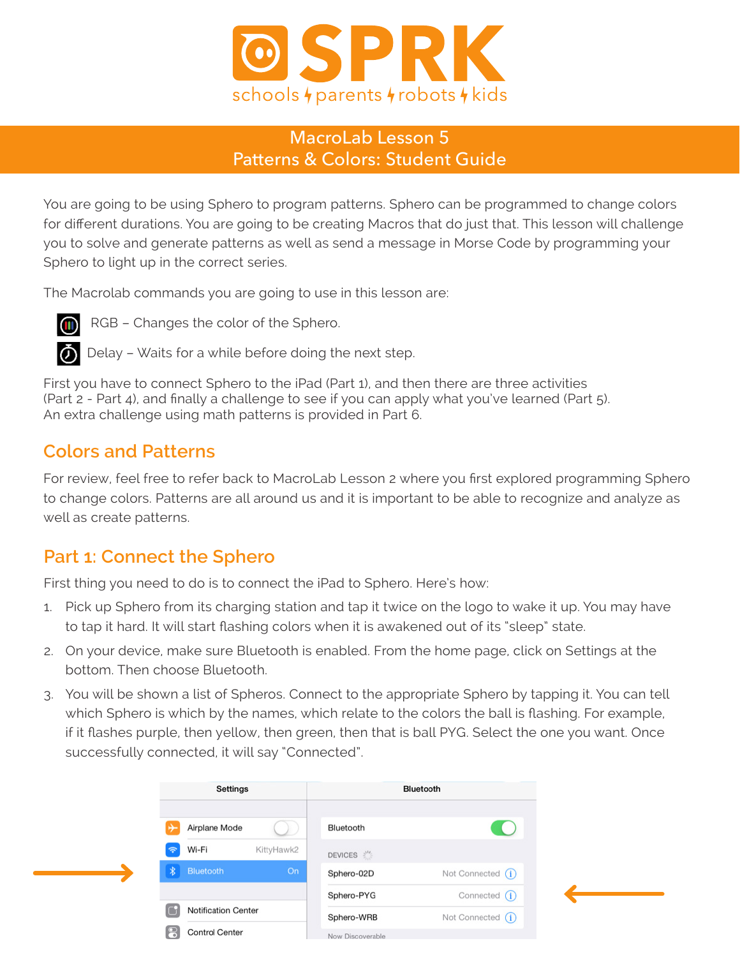

#### MacroLab Lesson 5 Patterns & Colors: Student Guide

You are going to be using Sphero to program patterns. Sphero can be programmed to change colors for different durations. You are going to be creating Macros that do just that. This lesson will challenge you to solve and generate patterns as well as send a message in Morse Code by programming your Sphero to light up in the correct series.

The Macrolab commands you are going to use in this lesson are:



**COD** RGB – Changes the color of the Sphero.

 $\ddot{\bullet}$  Delay – Waits for a while before doing the next step.

First you have to connect Sphero to the iPad (Part 1), and then there are three activities (Part 2 - Part 4), and finally a challenge to see if you can apply what you've learned (Part 5). An extra challenge using math patterns is provided in Part 6.

#### **Colors and Patterns**

For review, feel free to refer back to MacroLab Lesson 2 where you first explored programming Sphero to change colors. Patterns are all around us and it is important to be able to recognize and analyze as well as create patterns.

## **Part 1: Connect the Sphero**

First thing you need to do is to connect the iPad to Sphero. Here's how:

- 1. Pick up Sphero from its charging station and tap it twice on the logo to wake it up. You may have to tap it hard. It will start flashing colors when it is awakened out of its "sleep" state.
- 2. On your device, make sure Bluetooth is enabled. From the home page, click on Settings at the bottom. Then choose Bluetooth.
- 3. You will be shown a list of Spheros. Connect to the appropriate Sphero by tapping it. You can tell which Sphero is which by the names, which relate to the colors the ball is flashing. For example, if it flashes purple, then yellow, then green, then that is ball PYG. Select the one you want. Once successfully connected, it will say "Connected".

|                                 | <b>Settings</b>     | Bluetooth        |                   |
|---------------------------------|---------------------|------------------|-------------------|
|                                 | Airplane Mode       | Bluetooth        | U                 |
| Wi-Fi<br>$\widehat{\mathbb{P}}$ | KittyHawk2          | DEVICES S        |                   |
| <b>* Bluetooth</b>              | On:                 | Sphero-02D       | Not Connected (i) |
|                                 |                     | Sphero-PYG       | Connected (1)     |
|                                 | Notification Center | Sphero-WRB       | Not Connected (i) |
| 8                               | Control Center      | Now Discoverable |                   |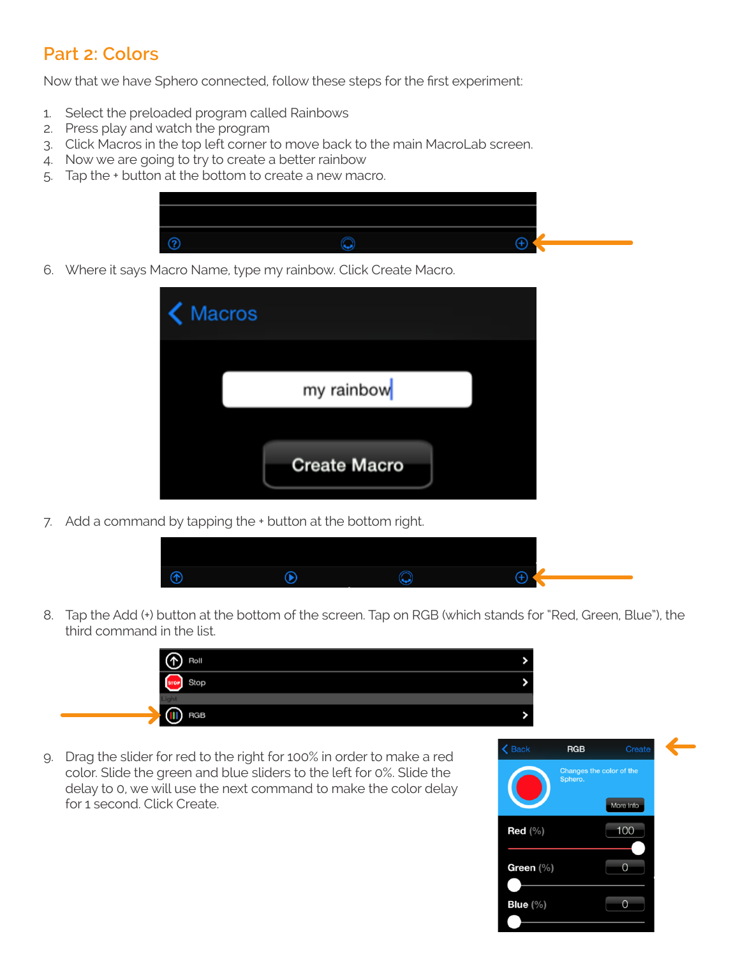## **Part 2: Colors**

Now that we have Sphero connected, follow these steps for the first experiment:

- 1. Select the preloaded program called Rainbows
- 2. Press play and watch the program
- 3. Click Macros in the top left corner to move back to the main MacroLab screen.
- 4. Now we are going to try to create a better rainbow
- 5. Tap the + button at the bottom to create a new macro.



6. Where it says Macro Name, type my rainbow. Click Create Macro.

| K Macros |                     |  |
|----------|---------------------|--|
|          | my rainbow          |  |
|          | <b>Create Macro</b> |  |
|          |                     |  |

7. Add a command by tapping the + button at the bottom right.



8. Tap the Add (+) button at the bottom of the screen. Tap on RGB (which stands for "Red, Green, Blue"), the third command in the list.

| Roll       |  |
|------------|--|
|            |  |
|            |  |
| <b>RGB</b> |  |
|            |  |

9. Drag the slider for red to the right for 100% in order to make a red color. Slide the green and blue sliders to the left for 0%. Slide the delay to 0, we will use the next command to make the color delay for 1 second. Click Create.

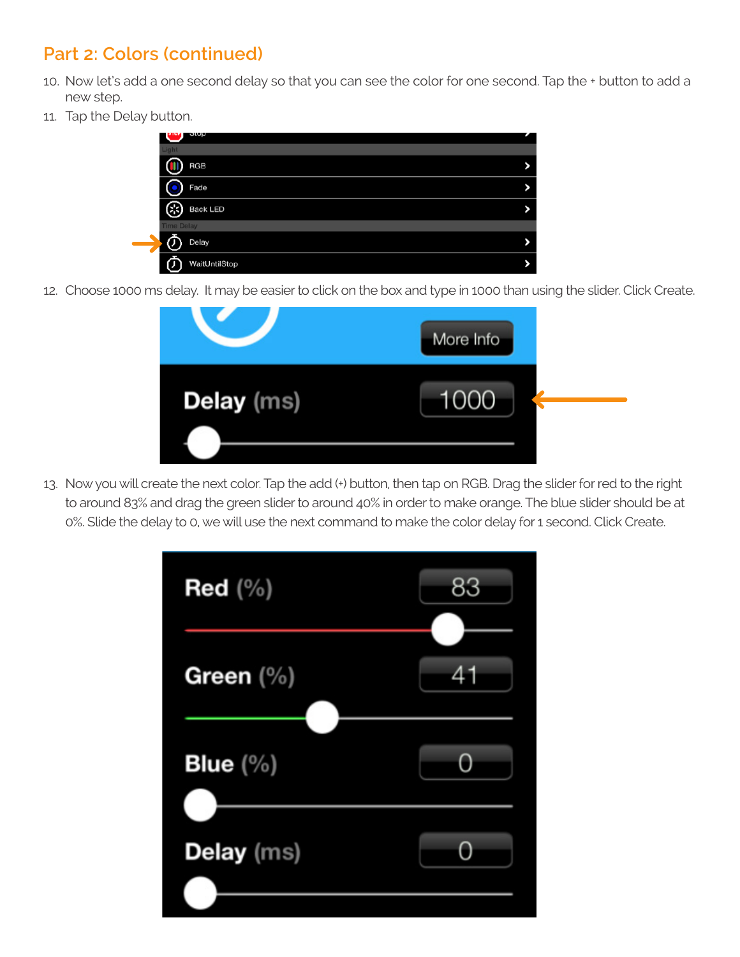## **Part 2: Colors (continued)**

- 10. Now let's add a one second delay so that you can see the color for one second. Tap the + button to add a new step.
- 11. Tap the Delay button.

|                   | οιυμ            |    |
|-------------------|-----------------|----|
| Light             |                 |    |
|                   | <b>RGB</b>      |    |
|                   | Fade            | 8  |
| æ                 | <b>Back LED</b> | 75 |
| <b>Time Delay</b> |                 |    |
|                   | Delay           | 55 |
|                   | WaitUntilStop   |    |

12. Choose 1000 ms delay. It may be easier to click on the box and type in 1000 than using the slider. Click Create.

|                   | More Info |
|-------------------|-----------|
| <b>Delay</b> (ms) | 1000      |

13. Now you will create the next color. Tap the add (+) button, then tap on RGB. Drag the slider for red to the right to around 83% and drag the green slider to around 40% in order to make orange. The blue slider should be at 0%. Slide the delay to 0, we will use the next command to make the color delay for 1 second. Click Create.

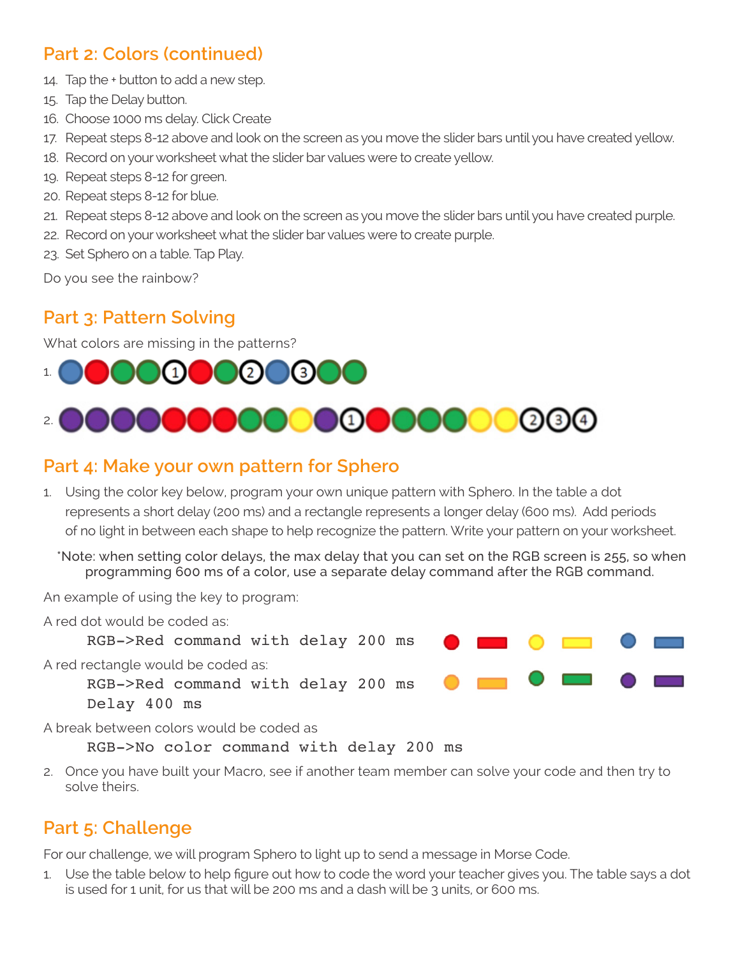### **Part 2: Colors (continued)**

- 14. Tap the + button to add a new step.
- 15. Tap the Delay button.
- 16. Choose 1000 ms delay. Click Create
- 17. Repeat steps 8-12 above and look on the screen as you move the slider bars until you have created yellow.
- 18. Record on your worksheet what the slider bar values were to create yellow.
- 19. Repeat steps 8-12 for green.
- 20. Repeat steps 8-12 for blue.
- 21. Repeat steps 8-12 above and look on the screen as you move the slider bars until you have created purple.
- 22. Record on your worksheet what the slider bar values were to create purple.
- 23. Set Sphero on a table. Tap Play.

Do you see the rainbow?

### **Part 3: Pattern Solving**

What colors are missing in the patterns?



### **Part 4: Make your own pattern for Sphero**

- 1. Using the color key below, program your own unique pattern with Sphero. In the table a dot represents a short delay (200 ms) and a rectangle represents a longer delay (600 ms). Add periods of no light in between each shape to help recognize the pattern. Write your pattern on your worksheet.
	- \*Note: when setting color delays, the max delay that you can set on the RGB screen is 255, so when programming 600 ms of a color, use a separate delay command after the RGB command.

An example of using the key to program:



RGB->No color command with delay 200 ms

2. Once you have built your Macro, see if another team member can solve your code and then try to solve theirs.

## **Part 5: Challenge**

For our challenge, we will program Sphero to light up to send a message in Morse Code.

1. Use the table below to help figure out how to code the word your teacher gives you. The table says a dot is used for 1 unit, for us that will be 200 ms and a dash will be 3 units, or 600 ms.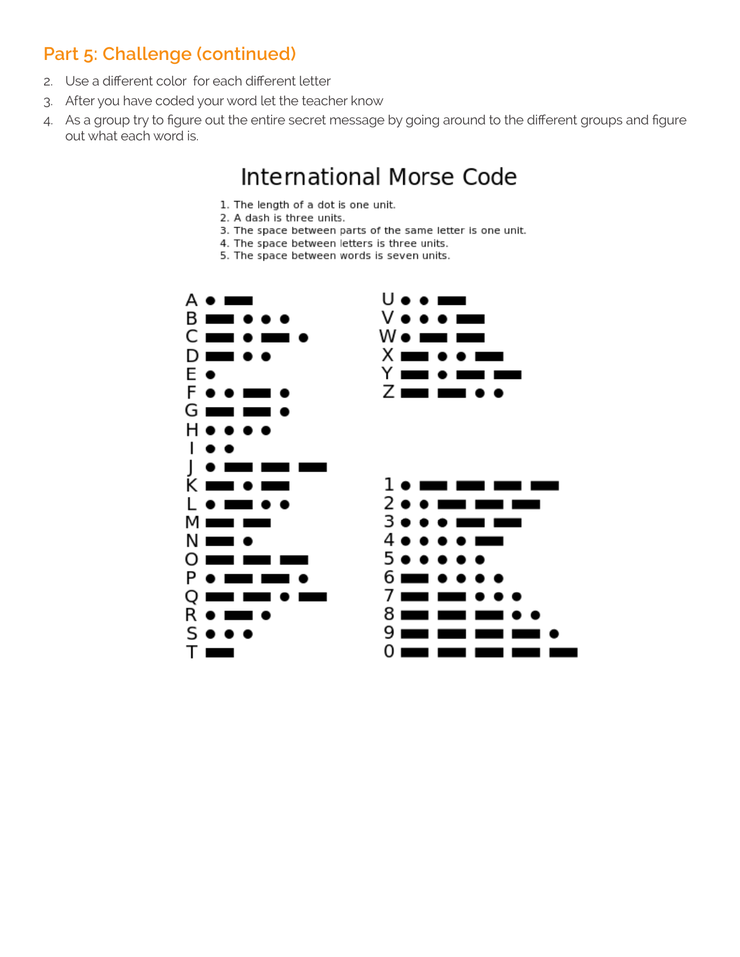## **Part 5: Challenge (continued)**

- 2. Use a different color for each different letter
- 3. After you have coded your word let the teacher know
- 4. As a group try to figure out the entire secret message by going around to the different groups and figure out what each word is.

# **International Morse Code**

- 1. The length of a dot is one unit.
- 2. A dash is three units.
- 3. The space between parts of the same letter is one unit.
- 4. The space between letters is three units.
- 5. The space between words is seven units.